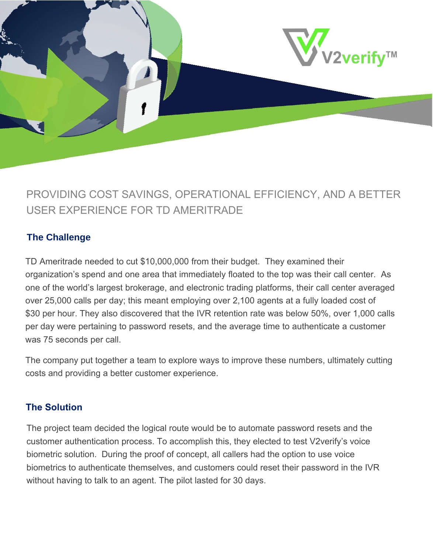

# PROVIDING COST SAVINGS, OPERATIONAL EFFICIENCY, AND A BETTER USER EXPERIENCE FOR TD AMERITRADE

### **The Challenge**

TD Ameritrade needed to cut \$10,000,000 from their budget. They examined their organization's spend and one area that immediately floated to the top was their call center. As one of the world's largest brokerage, and electronic trading platforms, their call center averaged over 25,000 calls per day; this meant employing over 2,100 agents at a fully loaded cost of \$30 per hour. They also discovered that the IVR retention rate was below 50%, over 1,000 calls per day were pertaining to password resets, and the average time to authenticate a customer was 75 seconds per call.

The company put together a team to explore ways to improve these numbers, ultimately cutting costs and providing a better customer experience.

#### **The Solution**

The project team decided the logical route would be to automate password resets and the customer authentication process. To accomplish this, they elected to test V2verify's voice biometric solution. During the proof of concept, all callers had the option to use voice biometrics to authenticate themselves, and customers could reset their password in the IVR without having to talk to an agent. The pilot lasted for 30 days.